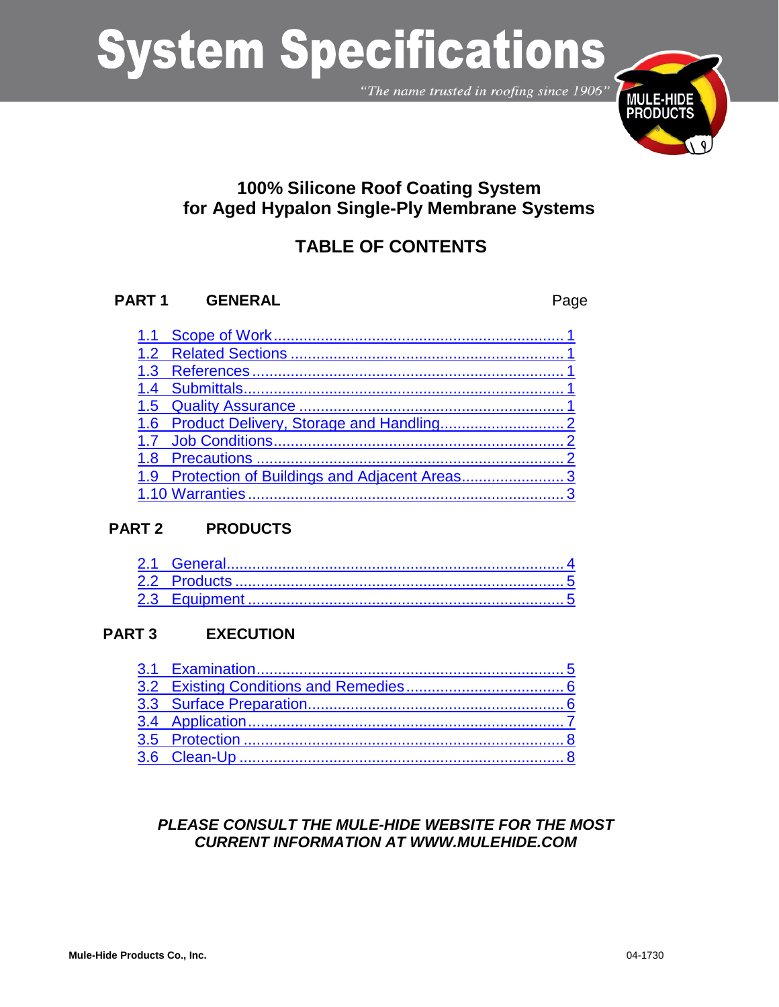"The name trusted in roofing since 1906"



## **100% Silicone Roof Coating System for Aged Hypalon Single-Ply Membrane Systems**

## **TABLE OF CONTENTS**

### **PART 1 GENERAL** Page

| 1.9 Protection of Buildings and Adjacent Areas3 |
|-------------------------------------------------|
|                                                 |

### **PART 2 PRODUCTS**

## **PART 3 EXECUTION**

## *PLEASE CONSULT THE MULE-HIDE WEBSITE FOR THE MOST CURRENT INFORMATION AT WWW.MULEHIDE.COM*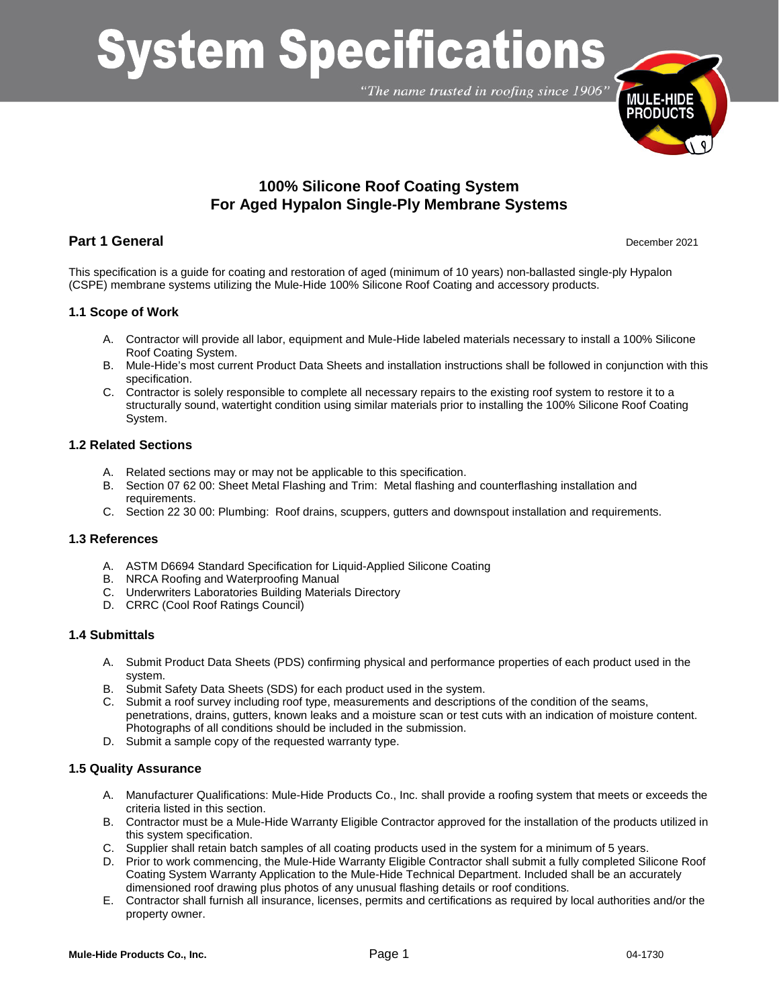"The name trusted in roofing since 1906"



## **100% Silicone Roof Coating System For Aged Hypalon Single-Ply Membrane Systems**

#### **Part 1 General** December 2021

This specification is a guide for coating and restoration of aged (minimum of 10 years) non-ballasted single-ply Hypalon (CSPE) membrane systems utilizing the Mule-Hide 100% Silicone Roof Coating and accessory products.

#### <span id="page-1-0"></span>**1.1 Scope of Work**

- A. Contractor will provide all labor, equipment and Mule-Hide labeled materials necessary to install a 100% Silicone Roof Coating System.
- B. Mule-Hide's most current Product Data Sheets and installation instructions shall be followed in conjunction with this specification.
- C. Contractor is solely responsible to complete all necessary repairs to the existing roof system to restore it to a structurally sound, watertight condition using similar materials prior to installing the 100% Silicone Roof Coating System.

#### <span id="page-1-1"></span>**1.2 Related Sections**

- A. Related sections may or may not be applicable to this specification.
- B. Section 07 62 00: Sheet Metal Flashing and Trim: Metal flashing and counterflashing installation and requirements.
- C. Section 22 30 00: Plumbing: Roof drains, scuppers, gutters and downspout installation and requirements.

#### <span id="page-1-2"></span>**1.3 References**

- A. ASTM D6694 Standard Specification for Liquid-Applied Silicone Coating
- B. NRCA Roofing and Waterproofing Manual
- C. Underwriters Laboratories Building Materials Directory
- D. CRRC (Cool Roof Ratings Council)

#### <span id="page-1-3"></span>**1.4 Submittals**

- A. Submit Product Data Sheets (PDS) confirming physical and performance properties of each product used in the system.
- B. Submit Safety Data Sheets (SDS) for each product used in the system.
- C. Submit a roof survey including roof type, measurements and descriptions of the condition of the seams, penetrations, drains, gutters, known leaks and a moisture scan or test cuts with an indication of moisture content. Photographs of all conditions should be included in the submission.
- D. Submit a sample copy of the requested warranty type.

#### <span id="page-1-4"></span>**1.5 Quality Assurance**

- A. Manufacturer Qualifications: Mule-Hide Products Co., Inc. shall provide a roofing system that meets or exceeds the criteria listed in this section.
- B. Contractor must be a Mule-Hide Warranty Eligible Contractor approved for the installation of the products utilized in this system specification.
- C. Supplier shall retain batch samples of all coating products used in the system for a minimum of 5 years.
- D. Prior to work commencing, the Mule-Hide Warranty Eligible Contractor shall submit a fully completed Silicone Roof Coating System Warranty Application to the Mule-Hide Technical Department. Included shall be an accurately dimensioned roof drawing plus photos of any unusual flashing details or roof conditions.
- E. Contractor shall furnish all insurance, licenses, permits and certifications as required by local authorities and/or the property owner.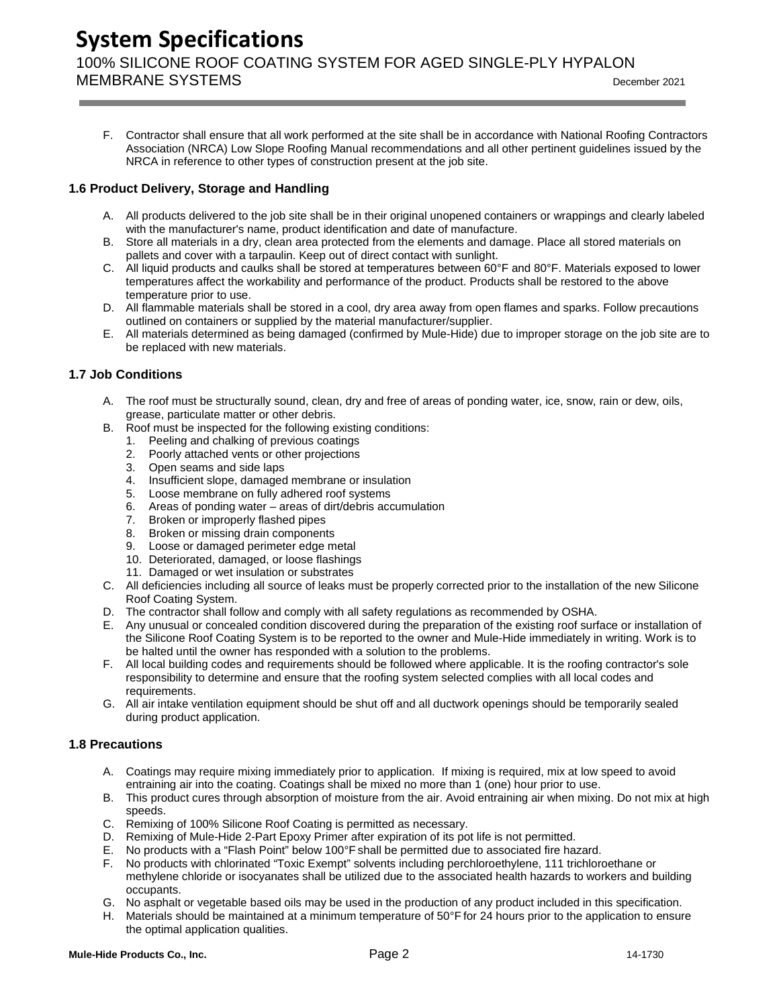## **System Specifications** 100% SILICONE ROOF COATING SYSTEM FOR AGED SINGLE-PLY HYPALON

MEMBRANE SYSTEMS December <sup>2021</sup>

F. Contractor shall ensure that all work performed at the site shall be in accordance with National Roofing Contractors Association (NRCA) Low Slope Roofing Manual recommendations and all other pertinent guidelines issued by the NRCA in reference to other types of construction present at the job site.

#### <span id="page-2-0"></span>**1.6 Product Delivery, Storage and Handling**

- A. All products delivered to the job site shall be in their original unopened containers or wrappings and clearly labeled with the manufacturer's name, product identification and date of manufacture.
- B. Store all materials in a dry, clean area protected from the elements and damage. Place all stored materials on pallets and cover with a tarpaulin. Keep out of direct contact with sunlight.
- C. All liquid products and caulks shall be stored at temperatures between 60°F and 80°F. Materials exposed to lower temperatures affect the workability and performance of the product. Products shall be restored to the above temperature prior to use.
- D. All flammable materials shall be stored in a cool, dry area away from open flames and sparks. Follow precautions outlined on containers or supplied by the material manufacturer/supplier.
- E. All materials determined as being damaged (confirmed by Mule-Hide) due to improper storage on the job site are to be replaced with new materials.

#### <span id="page-2-1"></span>**1.7 Job Conditions**

- A. The roof must be structurally sound, clean, dry and free of areas of ponding water, ice, snow, rain or dew, oils, grease, particulate matter or other debris.
- B. Roof must be inspected for the following existing conditions:
	- 1. Peeling and chalking of previous coatings
	- 2. Poorly attached vents or other projections
	- 3. Open seams and side laps
	- 4. Insufficient slope, damaged membrane or insulation
	- 5. Loose membrane on fully adhered roof systems
	- 6. Areas of ponding water areas of dirt/debris accumulation
	- 7. Broken or improperly flashed pipes
	- 8. Broken or missing drain components
	- 9. Loose or damaged perimeter edge metal
	- 10. Deteriorated, damaged, or loose flashings
	- 11. Damaged or wet insulation or substrates
- C. All deficiencies including all source of leaks must be properly corrected prior to the installation of the new Silicone Roof Coating System.
- D. The contractor shall follow and comply with all safety regulations as recommended by OSHA.
- E. Any unusual or concealed condition discovered during the preparation of the existing roof surface or installation of the Silicone Roof Coating System is to be reported to the owner and Mule-Hide immediately in writing. Work is to be halted until the owner has responded with a solution to the problems.
- F. All local building codes and requirements should be followed where applicable. It is the roofing contractor's sole responsibility to determine and ensure that the roofing system selected complies with all local codes and requirements.
- G. All air intake ventilation equipment should be shut off and all ductwork openings should be temporarily sealed during product application.

#### <span id="page-2-2"></span>**1.8 Precautions**

- A. Coatings may require mixing immediately prior to application. If mixing is required, mix at low speed to avoid entraining air into the coating. Coatings shall be mixed no more than 1 (one) hour prior to use.
- B. This product cures through absorption of moisture from the air. Avoid entraining air when mixing. Do not mix at high speeds.
- C. Remixing of 100% Silicone Roof Coating is permitted as necessary.<br>D. Remixing of Mule-Hide 2-Part Epoxy Primer after expiration of its no
- D. Remixing of Mule-Hide 2-Part Epoxy Primer after expiration of its pot life is not permitted.<br>E. No products with a "Flash Point" below 100°F shall be permitted due to associated fire ha:
- E. No products with a "Flash Point" below 100°F shall be permitted due to associated fire hazard.
- F. No products with chlorinated "Toxic Exempt" solvents including perchloroethylene, 111 trichloroethane or methylene chloride or isocyanates shall be utilized due to the associated health hazards to workers and building occupants.
- G. No asphalt or vegetable based oils may be used in the production of any product included in this specification.
- H. Materials should be maintained at a minimum temperature of 50°F for 24 hours prior to the application to ensure the optimal application qualities.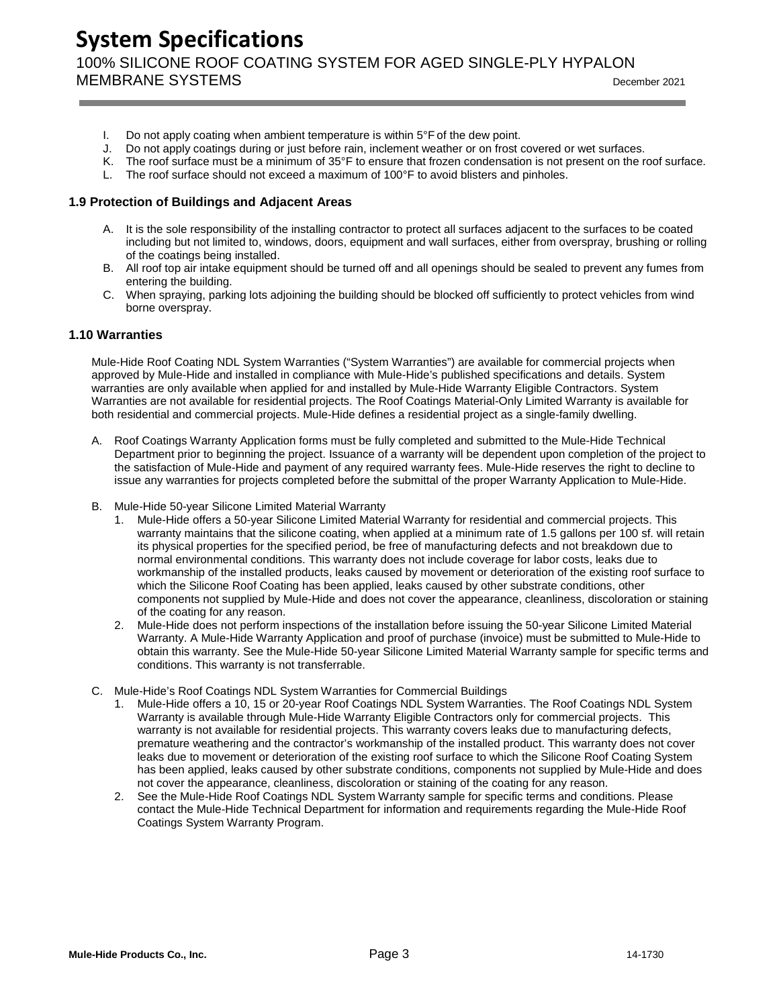**System Specifications** 100% SILICONE ROOF COATING SYSTEM FOR AGED SINGLE-PLY HYPALON MEMBRANE SYSTEMS  $\overline{O(21)}$ 

- I. Do not apply coating when ambient temperature is within  $5^{\circ}$  F of the dew point.
- J. Do not apply coatings during or just before rain, inclement weather or on frost covered or wet surfaces.
- K. The roof surface must be a minimum of 35°F to ensure that frozen condensation is not present on the roof surface.
- L. The roof surface should not exceed a maximum of 100°F to avoid blisters and pinholes.

#### <span id="page-3-0"></span>**1.9 Protection of Buildings and Adjacent Areas**

- A. It is the sole responsibility of the installing contractor to protect all surfaces adjacent to the surfaces to be coated including but not limited to, windows, doors, equipment and wall surfaces, either from overspray, brushing or rolling of the coatings being installed.
- B. All roof top air intake equipment should be turned off and all openings should be sealed to prevent any fumes from entering the building.
- C. When spraying, parking lots adjoining the building should be blocked off sufficiently to protect vehicles from wind borne overspray.

#### <span id="page-3-1"></span>**1.10 Warranties**

Mule-Hide Roof Coating NDL System Warranties ("System Warranties") are available for commercial projects when approved by Mule-Hide and installed in compliance with Mule-Hide's published specifications and details. System warranties are only available when applied for and installed by Mule-Hide Warranty Eligible Contractors. System Warranties are not available for residential projects. The Roof Coatings Material-Only Limited Warranty is available for both residential and commercial projects. Mule-Hide defines a residential project as a single-family dwelling.

- A. Roof Coatings Warranty Application forms must be fully completed and submitted to the Mule-Hide Technical Department prior to beginning the project. Issuance of a warranty will be dependent upon completion of the project to the satisfaction of Mule-Hide and payment of any required warranty fees. Mule-Hide reserves the right to decline to issue any warranties for projects completed before the submittal of the proper Warranty Application to Mule-Hide.
- B. Mule-Hide 50-year Silicone Limited Material Warranty
	- 1. Mule-Hide offers a 50-year Silicone Limited Material Warranty for residential and commercial projects. This warranty maintains that the silicone coating, when applied at a minimum rate of 1.5 gallons per 100 sf. will retain its physical properties for the specified period, be free of manufacturing defects and not breakdown due to normal environmental conditions. This warranty does not include coverage for labor costs, leaks due to workmanship of the installed products, leaks caused by movement or deterioration of the existing roof surface to which the Silicone Roof Coating has been applied, leaks caused by other substrate conditions, other components not supplied by Mule-Hide and does not cover the appearance, cleanliness, discoloration or staining of the coating for any reason.
	- 2. Mule-Hide does not perform inspections of the installation before issuing the 50-year Silicone Limited Material Warranty. A Mule-Hide Warranty Application and proof of purchase (invoice) must be submitted to Mule-Hide to obtain this warranty. See the Mule-Hide 50-year Silicone Limited Material Warranty sample for specific terms and conditions. This warranty is not transferrable.
- C. Mule-Hide's Roof Coatings NDL System Warranties for Commercial Buildings
	- 1. Mule-Hide offers a 10, 15 or 20-year Roof Coatings NDL System Warranties. The Roof Coatings NDL System Warranty is available through Mule-Hide Warranty Eligible Contractors only for commercial projects. This warranty is not available for residential projects. This warranty covers leaks due to manufacturing defects, premature weathering and the contractor's workmanship of the installed product. This warranty does not cover leaks due to movement or deterioration of the existing roof surface to which the Silicone Roof Coating System has been applied, leaks caused by other substrate conditions, components not supplied by Mule-Hide and does not cover the appearance, cleanliness, discoloration or staining of the coating for any reason.
	- 2. See the Mule-Hide Roof Coatings NDL System Warranty sample for specific terms and conditions. Please contact the Mule-Hide Technical Department for information and requirements regarding the Mule-Hide Roof Coatings System Warranty Program.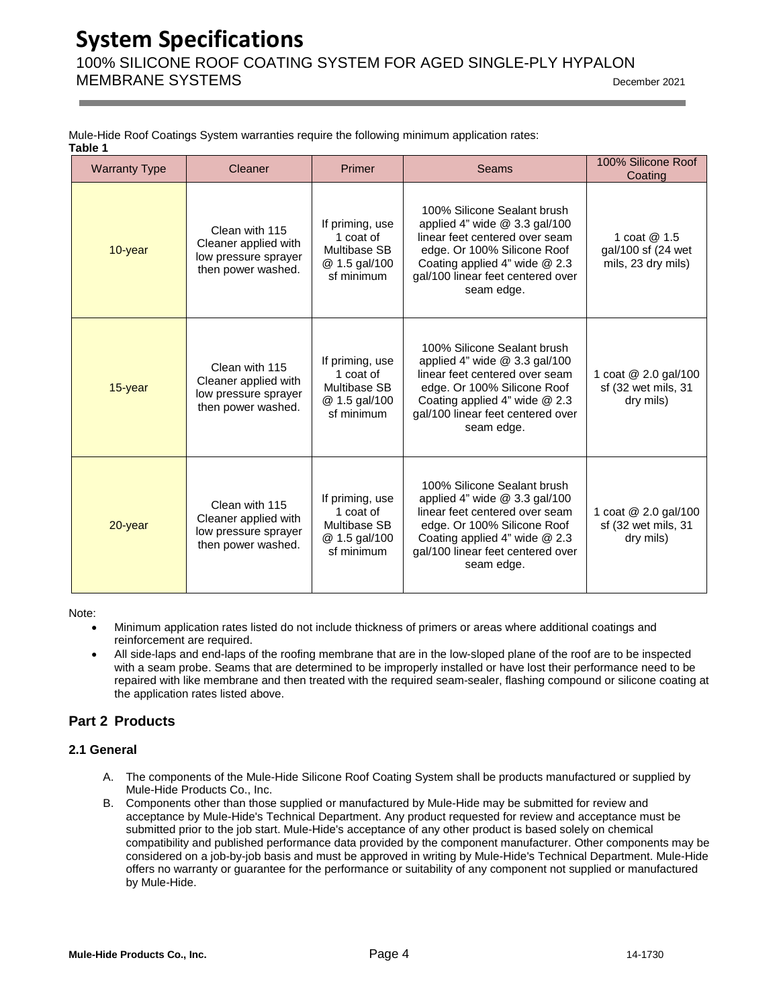## **System Specifications** 100% SILICONE ROOF COATING SYSTEM FOR AGED SINGLE-PLY HYPALON MEMBRANE SYSTEMS  $\overline{O(21)}$

| Mule-Hide Roof Coatings System warranties require the following minimum application rates: |  |  |  |
|--------------------------------------------------------------------------------------------|--|--|--|
| Table 1                                                                                    |  |  |  |

| <b>Warranty Type</b> | Cleaner                                                                              | Primer                                                                             | Seams                                                                                                                                                                                                              | 100% Silicone Roof<br>Coating                            |
|----------------------|--------------------------------------------------------------------------------------|------------------------------------------------------------------------------------|--------------------------------------------------------------------------------------------------------------------------------------------------------------------------------------------------------------------|----------------------------------------------------------|
| 10-year              | Clean with 115<br>Cleaner applied with<br>low pressure sprayer<br>then power washed. | If priming, use<br>1 coat of<br>Multibase SB<br>@ 1.5 gal/100<br>sf minimum        | 100% Silicone Sealant brush<br>applied 4" wide @ 3.3 gal/100<br>linear feet centered over seam<br>edge. Or 100% Silicone Roof<br>Coating applied 4" wide @ 2.3<br>gal/100 linear feet centered over<br>seam edge.  | 1 coat @ 1.5<br>gal/100 sf (24 wet<br>mils, 23 dry mils) |
| 15-year              | Clean with 115<br>Cleaner applied with<br>low pressure sprayer<br>then power washed. | If priming, use<br>1 coat of<br><b>Multibase SB</b><br>@ 1.5 gal/100<br>sf minimum | 100% Silicone Sealant brush<br>applied 4" wide $@3.3$ gal/100<br>linear feet centered over seam<br>edge. Or 100% Silicone Roof<br>Coating applied 4" wide @ 2.3<br>gal/100 linear feet centered over<br>seam edge. | 1 coat @ 2.0 gal/100<br>sf (32 wet mils, 31<br>dry mils) |
| 20-year              | Clean with 115<br>Cleaner applied with<br>low pressure sprayer<br>then power washed. | If priming, use<br>1 coat of<br><b>Multibase SB</b><br>@ 1.5 gal/100<br>sf minimum | 100% Silicone Sealant brush<br>applied 4" wide $@3.3$ gal/100<br>linear feet centered over seam<br>edge. Or 100% Silicone Roof<br>Coating applied 4" wide @ 2.3<br>gal/100 linear feet centered over<br>seam edge. | 1 coat @ 2.0 gal/100<br>sf (32 wet mils, 31<br>dry mils) |

Note:

- Minimum application rates listed do not include thickness of primers or areas where additional coatings and reinforcement are required.
- All side-laps and end-laps of the roofing membrane that are in the low-sloped plane of the roof are to be inspected with a seam probe. Seams that are determined to be improperly installed or have lost their performance need to be repaired with like membrane and then treated with the required seam-sealer, flashing compound or silicone coating at the application rates listed above.

#### **Part 2 Products**

#### <span id="page-4-0"></span>**2.1 General**

- A. The components of the Mule-Hide Silicone Roof Coating System shall be products manufactured or supplied by Mule-Hide Products Co., Inc.
- B. Components other than those supplied or manufactured by Mule-Hide may be submitted for review and acceptance by Mule-Hide's Technical Department. Any product requested for review and acceptance must be submitted prior to the job start. Mule-Hide's acceptance of any other product is based solely on chemical compatibility and published performance data provided by the component manufacturer. Other components may be considered on a job-by-job basis and must be approved in writing by Mule-Hide's Technical Department. Mule-Hide offers no warranty or guarantee for the performance or suitability of any component not supplied or manufactured by Mule-Hide.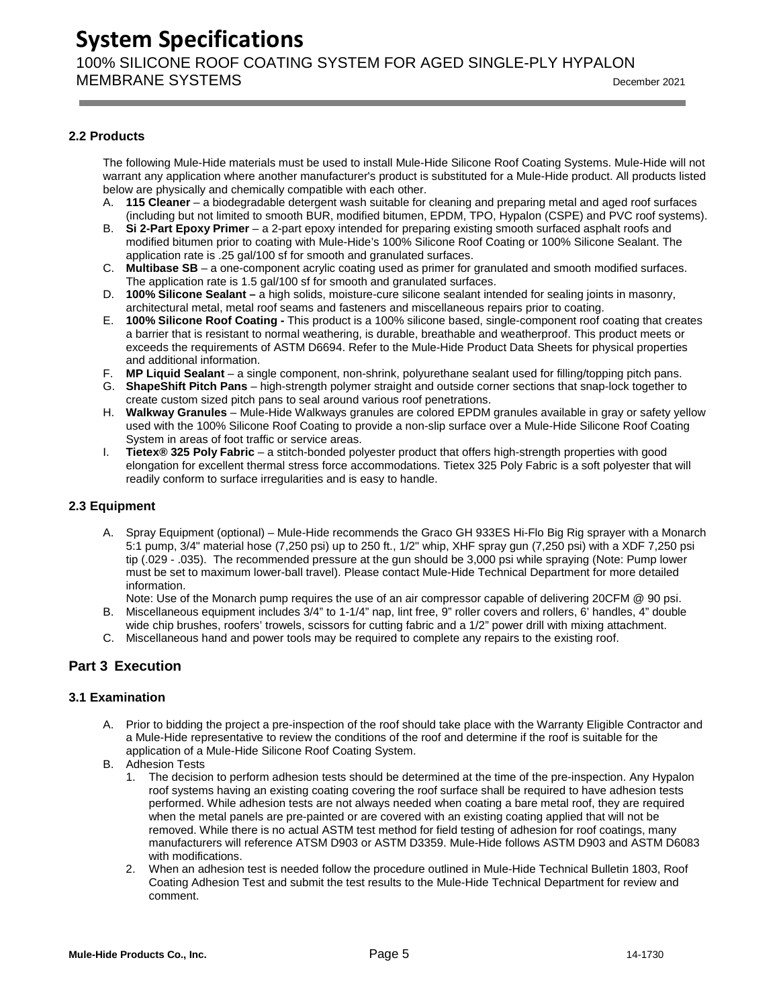100% SILICONE ROOF COATING SYSTEM FOR AGED SINGLE-PLY HYPALON MEMBRANE SYSTEMS  $\overline{O(21)}$ 

#### <span id="page-5-0"></span>**2.2 Products**

The following Mule-Hide materials must be used to install Mule-Hide Silicone Roof Coating Systems. Mule-Hide will not warrant any application where another manufacturer's product is substituted for a Mule-Hide product. All products listed below are physically and chemically compatible with each other.

- A. **115 Cleaner**  a biodegradable detergent wash suitable for cleaning and preparing metal and aged roof surfaces (including but not limited to smooth BUR, modified bitumen, EPDM, TPO, Hypalon (CSPE) and PVC roof systems).
- B. **Si 2-Part Epoxy Primer**  a 2-part epoxy intended for preparing existing smooth surfaced asphalt roofs and modified bitumen prior to coating with Mule-Hide's 100% Silicone Roof Coating or 100% Silicone Sealant. The application rate is .25 gal/100 sf for smooth and granulated surfaces.
- C. **Multibase SB**  a one-component acrylic coating used as primer for granulated and smooth modified surfaces. The application rate is 1.5 gal/100 sf for smooth and granulated surfaces.
- D. **100% Silicone Sealant –** a high solids, moisture-cure silicone sealant intended for sealing joints in masonry, architectural metal, metal roof seams and fasteners and miscellaneous repairs prior to coating.
- E. **100% Silicone Roof Coating -** This product is a 100% silicone based, single-component roof coating that creates a barrier that is resistant to normal weathering, is durable, breathable and weatherproof. This product meets or exceeds the requirements of ASTM D6694. Refer to the Mule-Hide Product Data Sheets for physical properties and additional information.
- F. **MP Liquid Sealant**  a single component, non-shrink, polyurethane sealant used for filling/topping pitch pans.
- G. **ShapeShift Pitch Pans**  high-strength polymer straight and outside corner sections that snap-lock together to create custom sized pitch pans to seal around various roof penetrations.
- H. **Walkway Granules**  Mule-Hide Walkways granules are colored EPDM granules available in gray or safety yellow used with the 100% Silicone Roof Coating to provide a non-slip surface over a Mule-Hide Silicone Roof Coating System in areas of foot traffic or service areas.
- I. **Tietex® 325 Poly Fabric**  a stitch-bonded polyester product that offers high-strength properties with good elongation for excellent thermal stress force accommodations. Tietex 325 Poly Fabric is a soft polyester that will readily conform to surface irregularities and is easy to handle.

#### <span id="page-5-1"></span>**2.3 Equipment**

A. Spray Equipment (optional) – Mule-Hide recommends the Graco GH 933ES Hi-Flo Big Rig sprayer with a Monarch 5:1 pump, 3/4" material hose (7,250 psi) up to 250 ft., 1/2" whip, XHF spray gun (7,250 psi) with a XDF 7,250 psi tip (.029 - .035). The recommended pressure at the gun should be 3,000 psi while spraying (Note: Pump lower must be set to maximum lower-ball travel). Please contact Mule-Hide Technical Department for more detailed information.

Note: Use of the Monarch pump requires the use of an air compressor capable of delivering 20CFM @ 90 psi.

- B. Miscellaneous equipment includes 3/4" to 1-1/4" nap, lint free, 9" roller covers and rollers, 6' handles, 4" double wide chip brushes, roofers' trowels, scissors for cutting fabric and a 1/2" power drill with mixing attachment.
- C. Miscellaneous hand and power tools may be required to complete any repairs to the existing roof.

#### **Part 3 Execution**

#### <span id="page-5-2"></span>**3.1 Examination**

- A. Prior to bidding the project a pre-inspection of the roof should take place with the Warranty Eligible Contractor and a Mule-Hide representative to review the conditions of the roof and determine if the roof is suitable for the application of a Mule-Hide Silicone Roof Coating System.
- B. Adhesion Tests
	- 1. The decision to perform adhesion tests should be determined at the time of the pre-inspection. Any Hypalon roof systems having an existing coating covering the roof surface shall be required to have adhesion tests performed. While adhesion tests are not always needed when coating a bare metal roof, they are required when the metal panels are pre-painted or are covered with an existing coating applied that will not be removed. While there is no actual ASTM test method for field testing of adhesion for roof coatings, many manufacturers will reference ATSM D903 or ASTM D3359. Mule-Hide follows ASTM D903 and ASTM D6083 with modifications.
	- 2. When an adhesion test is needed follow the procedure outlined in Mule-Hide Technical Bulletin 1803, Roof Coating Adhesion Test and submit the test results to the Mule-Hide Technical Department for review and comment.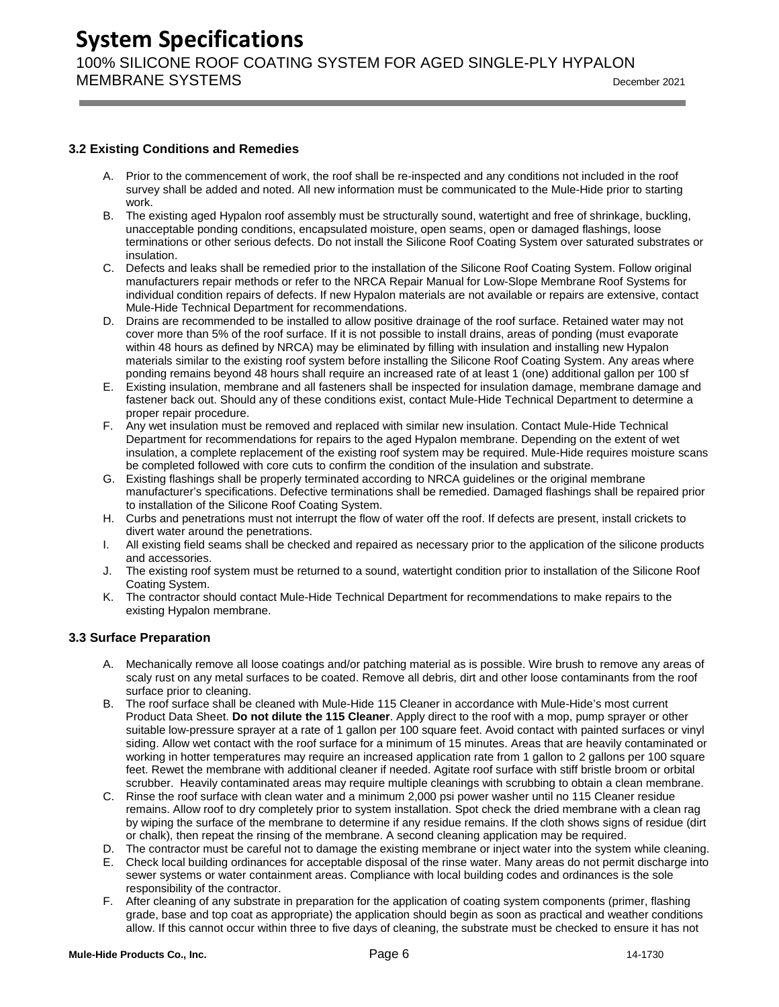100% SILICONE ROOF COATING SYSTEM FOR AGED SINGLE-PLY HYPALON MEMBRANE SYSTEMS  $\overline{O(21)}$ 

#### <span id="page-6-0"></span>**3.2 Existing Conditions and Remedies**

- A. Prior to the commencement of work, the roof shall be re-inspected and any conditions not included in the roof survey shall be added and noted. All new information must be communicated to the Mule-Hide prior to starting work.
- B. The existing aged Hypalon roof assembly must be structurally sound, watertight and free of shrinkage, buckling, unacceptable ponding conditions, encapsulated moisture, open seams, open or damaged flashings, loose terminations or other serious defects. Do not install the Silicone Roof Coating System over saturated substrates or insulation.
- C. Defects and leaks shall be remedied prior to the installation of the Silicone Roof Coating System. Follow original manufacturers repair methods or refer to the NRCA Repair Manual for Low-Slope Membrane Roof Systems for individual condition repairs of defects. If new Hypalon materials are not available or repairs are extensive, contact Mule-Hide Technical Department for recommendations.
- D. Drains are recommended to be installed to allow positive drainage of the roof surface. Retained water may not cover more than 5% of the roof surface. If it is not possible to install drains, areas of ponding (must evaporate within 48 hours as defined by NRCA) may be eliminated by filling with insulation and installing new Hypalon materials similar to the existing roof system before installing the Silicone Roof Coating System. Any areas where ponding remains beyond 48 hours shall require an increased rate of at least 1 (one) additional gallon per 100 sf
- E. Existing insulation, membrane and all fasteners shall be inspected for insulation damage, membrane damage and fastener back out. Should any of these conditions exist, contact Mule-Hide Technical Department to determine a proper repair procedure.
- F. Any wet insulation must be removed and replaced with similar new insulation. Contact Mule-Hide Technical Department for recommendations for repairs to the aged Hypalon membrane. Depending on the extent of wet insulation, a complete replacement of the existing roof system may be required. Mule-Hide requires moisture scans be completed followed with core cuts to confirm the condition of the insulation and substrate.
- G. Existing flashings shall be properly terminated according to NRCA guidelines or the original membrane manufacturer's specifications. Defective terminations shall be remedied. Damaged flashings shall be repaired prior to installation of the Silicone Roof Coating System.
- H. Curbs and penetrations must not interrupt the flow of water off the roof. If defects are present, install crickets to divert water around the penetrations.
- I. All existing field seams shall be checked and repaired as necessary prior to the application of the silicone products and accessories.
- J. The existing roof system must be returned to a sound, watertight condition prior to installation of the Silicone Roof Coating System.
- K. The contractor should contact Mule-Hide Technical Department for recommendations to make repairs to the existing Hypalon membrane.

#### <span id="page-6-1"></span>**3.3 Surface Preparation**

- A. Mechanically remove all loose coatings and/or patching material as is possible. Wire brush to remove any areas of scaly rust on any metal surfaces to be coated. Remove all debris, dirt and other loose contaminants from the roof surface prior to cleaning.
- B. The roof surface shall be cleaned with Mule-Hide 115 Cleaner in accordance with Mule-Hide's most current Product Data Sheet. **Do not dilute the 115 Cleaner**. Apply direct to the roof with a mop, pump sprayer or other suitable low-pressure sprayer at a rate of 1 gallon per 100 square feet. Avoid contact with painted surfaces or vinyl siding. Allow wet contact with the roof surface for a minimum of 15 minutes. Areas that are heavily contaminated or working in hotter temperatures may require an increased application rate from 1 gallon to 2 gallons per 100 square feet. Rewet the membrane with additional cleaner if needed. Agitate roof surface with stiff bristle broom or orbital scrubber. Heavily contaminated areas may require multiple cleanings with scrubbing to obtain a clean membrane.
- C. Rinse the roof surface with clean water and a minimum 2,000 psi power washer until no 115 Cleaner residue remains. Allow roof to dry completely prior to system installation. Spot check the dried membrane with a clean rag by wiping the surface of the membrane to determine if any residue remains. If the cloth shows signs of residue (dirt or chalk), then repeat the rinsing of the membrane. A second cleaning application may be required.
- D. The contractor must be careful not to damage the existing membrane or inject water into the system while cleaning.
- E. Check local building ordinances for acceptable disposal of the rinse water. Many areas do not permit discharge into sewer systems or water containment areas. Compliance with local building codes and ordinances is the sole responsibility of the contractor.
- F. After cleaning of any substrate in preparation for the application of coating system components (primer, flashing grade, base and top coat as appropriate) the application should begin as soon as practical and weather conditions allow. If this cannot occur within three to five days of cleaning, the substrate must be checked to ensure it has not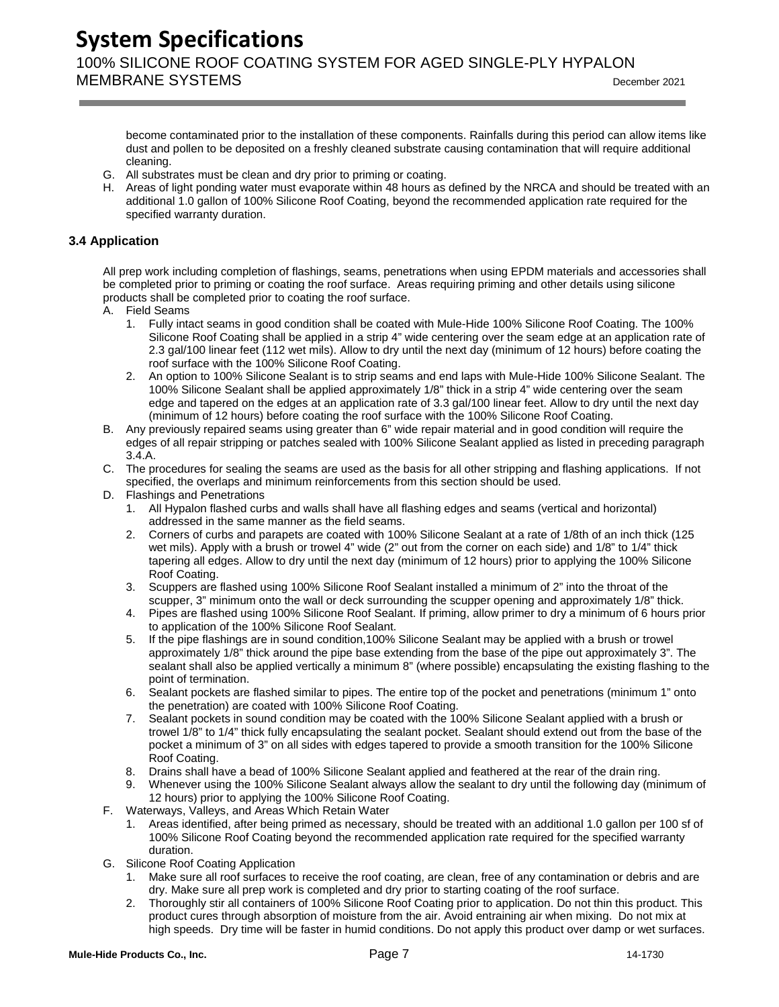**System Specifications** 100% SILICONE ROOF COATING SYSTEM FOR AGED SINGLE-PLY HYPALON MEMBRANE SYSTEMS  $\overline{O(21)}$ 

become contaminated prior to the installation of these components. Rainfalls during this period can allow items like dust and pollen to be deposited on a freshly cleaned substrate causing contamination that will require additional cleaning.

- G. All substrates must be clean and dry prior to priming or coating.
- H. Areas of light ponding water must evaporate within 48 hours as defined by the NRCA and should be treated with an additional 1.0 gallon of 100% Silicone Roof Coating, beyond the recommended application rate required for the specified warranty duration.

#### <span id="page-7-0"></span>**3.4 Application**

All prep work including completion of flashings, seams, penetrations when using EPDM materials and accessories shall be completed prior to priming or coating the roof surface. Areas requiring priming and other details using silicone products shall be completed prior to coating the roof surface.

- A. Field Seams
	- 1. Fully intact seams in good condition shall be coated with Mule-Hide 100% Silicone Roof Coating. The 100% Silicone Roof Coating shall be applied in a strip 4" wide centering over the seam edge at an application rate of 2.3 gal/100 linear feet (112 wet mils). Allow to dry until the next day (minimum of 12 hours) before coating the roof surface with the 100% Silicone Roof Coating.
	- 2. An option to 100% Silicone Sealant is to strip seams and end laps with Mule-Hide 100% Silicone Sealant. The 100% Silicone Sealant shall be applied approximately 1/8" thick in a strip 4" wide centering over the seam edge and tapered on the edges at an application rate of 3.3 gal/100 linear feet. Allow to dry until the next day (minimum of 12 hours) before coating the roof surface with the 100% Silicone Roof Coating.
- B. Any previously repaired seams using greater than 6" wide repair material and in good condition will require the edges of all repair stripping or patches sealed with 100% Silicone Sealant applied as listed in preceding paragraph 3.4.A.
- C. The procedures for sealing the seams are used as the basis for all other stripping and flashing applications. If not specified, the overlaps and minimum reinforcements from this section should be used.
- D. Flashings and Penetrations
	- 1. All Hypalon flashed curbs and walls shall have all flashing edges and seams (vertical and horizontal) addressed in the same manner as the field seams.
	- 2. Corners of curbs and parapets are coated with 100% Silicone Sealant at a rate of 1/8th of an inch thick (125 wet mils). Apply with a brush or trowel 4" wide (2" out from the corner on each side) and 1/8" to 1/4" thick tapering all edges. Allow to dry until the next day (minimum of 12 hours) prior to applying the 100% Silicone Roof Coating.
	- 3. Scuppers are flashed using 100% Silicone Roof Sealant installed a minimum of 2" into the throat of the scupper, 3" minimum onto the wall or deck surrounding the scupper opening and approximately 1/8" thick.
	- 4. Pipes are flashed using 100% Silicone Roof Sealant. If priming, allow primer to dry a minimum of 6 hours prior to application of the 100% Silicone Roof Sealant.
	- 5. If the pipe flashings are in sound condition,100% Silicone Sealant may be applied with a brush or trowel approximately 1/8" thick around the pipe base extending from the base of the pipe out approximately 3". The sealant shall also be applied vertically a minimum 8" (where possible) encapsulating the existing flashing to the point of termination.
	- 6. Sealant pockets are flashed similar to pipes. The entire top of the pocket and penetrations (minimum 1" onto the penetration) are coated with 100% Silicone Roof Coating.
	- 7. Sealant pockets in sound condition may be coated with the 100% Silicone Sealant applied with a brush or trowel 1/8" to 1/4" thick fully encapsulating the sealant pocket. Sealant should extend out from the base of the pocket a minimum of 3" on all sides with edges tapered to provide a smooth transition for the 100% Silicone Roof Coating.
	- 8. Drains shall have a bead of 100% Silicone Sealant applied and feathered at the rear of the drain ring.
	- 9. Whenever using the 100% Silicone Sealant always allow the sealant to dry until the following day (minimum of 12 hours) prior to applying the 100% Silicone Roof Coating.
- F. Waterways, Valleys, and Areas Which Retain Water
	- 1. Areas identified, after being primed as necessary, should be treated with an additional 1.0 gallon per 100 sf of 100% Silicone Roof Coating beyond the recommended application rate required for the specified warranty duration.
- G. Silicone Roof Coating Application
	- 1. Make sure all roof surfaces to receive the roof coating, are clean, free of any contamination or debris and are dry. Make sure all prep work is completed and dry prior to starting coating of the roof surface.
	- 2. Thoroughly stir all containers of 100% Silicone Roof Coating prior to application. Do not thin this product. This product cures through absorption of moisture from the air. Avoid entraining air when mixing. Do not mix at high speeds. Dry time will be faster in humid conditions. Do not apply this product over damp or wet surfaces.